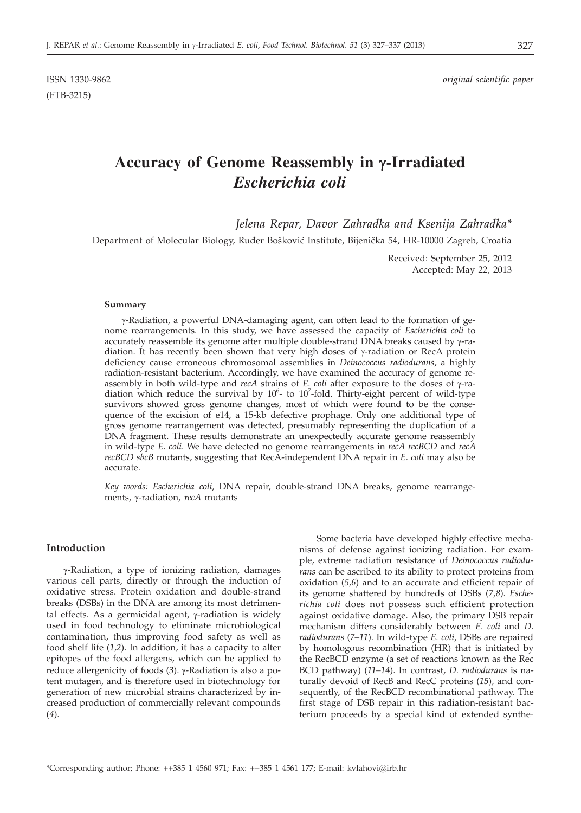(FTB-3215)

# **Accuracy of Genome Reassembly in g-Irradiated** *Escherichia coli*

*Jelena Repar, Davor Zahradka and Ksenija Zahradka\**

Department of Molecular Biology, Ruđer Bošković Institute, Bijenička 54, HR-10000 Zagreb, Croatia

Received: September 25, 2012 Accepted: May 22, 2013

#### **Summary**

g-Radiation, a powerful DNA-damaging agent, can often lead to the formation of genome rearrangements. In this study, we have assessed the capacity of *Escherichia coli* to accurately reassemble its genome after multiple double-strand DNA breaks caused by  $\gamma$ -radiation. It has recently been shown that very high doses of  $\gamma$ -radiation or RecA protein deficiency cause erroneous chromosomal assemblies in *Deinococcus radiodurans*, a highly radiation-resistant bacterium. Accordingly, we have examined the accuracy of genome reassembly in both wild-type and *recA* strains of *E. coli* after exposure to the doses of  $\gamma$ -radiation which reduce the survival by  $10^6$ - to  $10^7$ -fold. Thirty-eight percent of wild-type survivors showed gross genome changes, most of which were found to be the consequence of the excision of e14, a 15-kb defective prophage. Only one additional type of gross genome rearrangement was detected, presumably representing the duplication of a DNA fragment. These results demonstrate an unexpectedly accurate genome reassembly in wild-type *E. coli*. We have detected no genome rearrangements in *recA recBCD* and *recA recBCD sbcB* mutants, suggesting that RecA-independent DNA repair in *E. coli* may also be accurate.

*Key words: Escherichia coli*, DNA repair, double-strand DNA breaks, genome rearrangements, γ-radiation, *recA* mutants

### **Introduction**

g-Radiation, a type of ionizing radiation, damages various cell parts, directly or through the induction of oxidative stress. Protein oxidation and double-strand breaks (DSBs) in the DNA are among its most detrimental effects. As a germicidal agent,  $\gamma$ -radiation is widely used in food technology to eliminate microbiological contamination, thus improving food safety as well as food shelf life (*1,2*). In addition, it has a capacity to alter epitopes of the food allergens, which can be applied to reduce allergenicity of foods (3). γ-Radiation is also a potent mutagen, and is therefore used in biotechnology for generation of new microbial strains characterized by increased production of commercially relevant compounds (*4*).

Some bacteria have developed highly effective mechanisms of defense against ionizing radiation. For example, extreme radiation resistance of *Deinococcus radiodurans* can be ascribed to its ability to protect proteins from oxidation (*5,6*) and to an accurate and efficient repair of its genome shattered by hundreds of DSBs (*7,8*). *Escherichia coli* does not possess such efficient protection against oxidative damage. Also, the primary DSB repair mechanism differs considerably between *E. coli* and *D. radiodurans* (*7–11*). In wild-type *E. coli*, DSBs are repaired by homologous recombination (HR) that is initiated by the RecBCD enzyme (a set of reactions known as the Rec BCD pathway) (*11–14*). In contrast, *D. radiodurans* is naturally devoid of RecB and RecC proteins (*15*), and consequently, of the RecBCD recombinational pathway. The first stage of DSB repair in this radiation-resistant bacterium proceeds by a special kind of extended synthe-

<sup>\*</sup>Corresponding author; Phone: ++385 1 4560 971; Fax: ++385 1 4561 177; E-mail: kvlahovi@irb.hr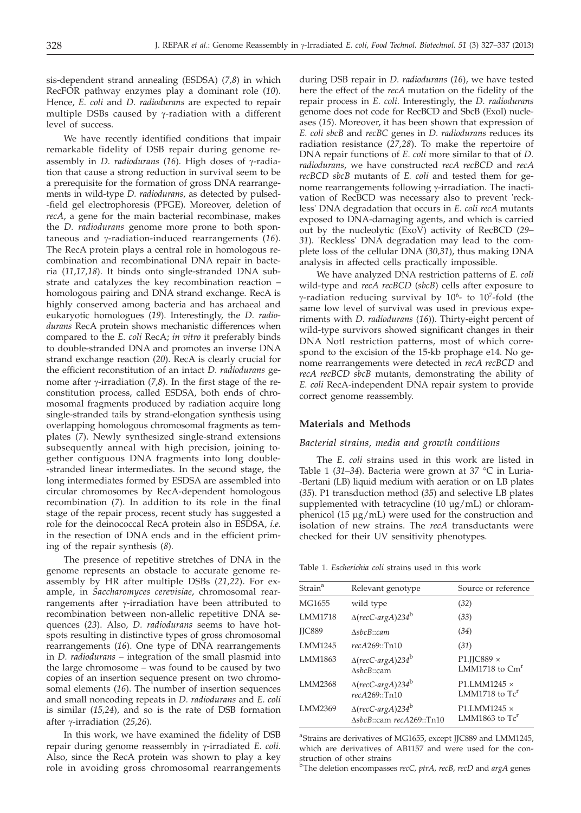sis-dependent strand annealing (ESDSA) (*7,8*) in which RecFOR pathway enzymes play a dominant role (*10*). Hence, *E. coli* and *D. radiodurans* are expected to repair multiple DSBs caused by  $\gamma$ -radiation with a different level of success.

We have recently identified conditions that impair remarkable fidelity of DSB repair during genome reassembly in *D. radiodurans* (16). High doses of γ-radiation that cause a strong reduction in survival seem to be a prerequisite for the formation of gross DNA rearrangements in wild-type *D. radiodurans*, as detected by pulsed- -field gel electrophoresis (PFGE). Moreover, deletion of *recA*, a gene for the main bacterial recombinase, makes the *D. radiodurans* genome more prone to both spontaneous and *y*-radiation-induced rearrangements (16). The RecA protein plays a central role in homologous recombination and recombinational DNA repair in bacteria (*11,17,18*). It binds onto single-stranded DNA substrate and catalyzes the key recombination reaction – homologous pairing and DNA strand exchange. RecA is highly conserved among bacteria and has archaeal and eukaryotic homologues (*19*). Interestingly, the *D. radiodurans* RecA protein shows mechanistic differences when compared to the *E. coli* RecA; *in vitro* it preferably binds to double-stranded DNA and promotes an inverse DNA strand exchange reaction (*20*). RecA is clearly crucial for the efficient reconstitution of an intact *D. radiodurans* genome after  $\gamma$ -irradiation (7,8). In the first stage of the reconstitution process, called ESDSA, both ends of chromosomal fragments produced by radiation acquire long single-stranded tails by strand-elongation synthesis using overlapping homologous chromosomal fragments as templates (*7*). Newly synthesized single-strand extensions subsequently anneal with high precision, joining together contiguous DNA fragments into long double- -stranded linear intermediates. In the second stage, the long intermediates formed by ESDSA are assembled into circular chromosomes by RecA-dependent homologous recombination (*7*). In addition to its role in the final stage of the repair process, recent study has suggested a role for the deinococcal RecA protein also in ESDSA, *i.e.* in the resection of DNA ends and in the efficient priming of the repair synthesis (*8*).

The presence of repetitive stretches of DNA in the genome represents an obstacle to accurate genome reassembly by HR after multiple DSBs (*21,22*). For example, in *Saccharomyces cerevisiae*, chromosomal rearrangements after  $\gamma$ -irradiation have been attributed to recombination between non-allelic repetitive DNA sequences (*23*). Also, *D. radiodurans* seems to have hotspots resulting in distinctive types of gross chromosomal rearrangements (*16*). One type of DNA rearrangements in *D. radiodurans* – integration of the small plasmid into the large chromosome – was found to be caused by two copies of an insertion sequence present on two chromosomal elements (*16*). The number of insertion sequences and small noncoding repeats in *D. radiodurans* and *E. coli* is similar (*15,24*), and so is the rate of DSB formation after g-irradiation (*25,26*).

In this work, we have examined the fidelity of DSB repair during genome reassembly in g-irradiated *E. coli*. Also, since the RecA protein was shown to play a key role in avoiding gross chromosomal rearrangements

during DSB repair in *D. radiodurans* (*16*), we have tested here the effect of the *recA* mutation on the fidelity of the repair process in *E. coli*. Interestingly, the *D. radiodurans* genome does not code for RecBCD and SbcB (ExoI) nucleases (*15*). Moreover, it has been shown that expression of *E. coli sbcB* and *recBC* genes in *D. radiodurans* reduces its radiation resistance (*27,28*). To make the repertoire of DNA repair functions of *E. coli* more similar to that of *D. radiodurans*, we have constructed *recA recBCD* and *recA recBCD sbcB* mutants of *E. coli* and tested them for genome rearrangements following  $\gamma$ -irradiation. The inactivation of RecBCD was necessary also to prevent 'reckless' DNA degradation that occurs in *E. coli recA* mutants exposed to DNA-damaging agents, and which is carried out by the nucleolytic (ExoV) activity of RecBCD (*29– 31*). 'Reckless' DNA degradation may lead to the complete loss of the cellular DNA (*30,31*), thus making DNA analysis in affected cells practically impossible.

We have analyzed DNA restriction patterns of *E. coli* wild-type and *recA recBCD* (*sbcB*) cells after exposure to  $\gamma$ -radiation reducing survival by 10<sup>6</sup>- to 10<sup>7</sup>-fold (the same low level of survival was used in previous experiments with *D. radiodurans* (*16*)). Thirty-eight percent of wild-type survivors showed significant changes in their DNA NotI restriction patterns, most of which correspond to the excision of the 15-kb prophage e14. No genome rearrangements were detected in *recA recBCD* and *recA recBCD sbcB* mutants, demonstrating the ability of *E. coli* RecA-independent DNA repair system to provide correct genome reassembly.

### **Materials and Methods**

### *Bacterial strains, media and growth conditions*

The *E. coli* strains used in this work are listed in Table 1 (*31–34*). Bacteria were grown at 37 °C in Luria- -Bertani (LB) liquid medium with aeration or on LB plates (*35*). P1 transduction method (*35*) and selective LB plates supplemented with tetracycline (10 µg/mL) or chloramphenicol (15 µg/mL) were used for the construction and isolation of new strains. The *recA* transductants were checked for their UV sensitivity phenotypes.

Table 1. *Escherichia coli* strains used in this work

| Strain <sup>a</sup> | Relevant genotype                                                | Source or reference                            |  |
|---------------------|------------------------------------------------------------------|------------------------------------------------|--|
| MG1655              | wild type                                                        | (32)                                           |  |
| <b>LMM1718</b>      | $\Delta$ (recC-argA)234 <sup>b</sup>                             | (33)                                           |  |
| <b>IIC889</b>       | AshcB::cam                                                       | (34)                                           |  |
| <b>LMM1245</b>      | recA269::Tn10                                                    | (31)                                           |  |
| <b>LMM1863</b>      | $\triangle$ (recC-argA)234 <sup>b</sup><br>AsbcB::cam            | P1.JJC889 $\times$<br>LMM1718 to $\text{Cm}^r$ |  |
| <b>LMM2368</b>      | $\triangle$ (recC-argA)234 <sup>b</sup><br>recA269::Tn10         | P1.I.MM1245 $\times$<br>LMM1718 to $Tcr$       |  |
| LMM2369             | $\Delta$ (recC-argA)234 <sup>b</sup><br>AsbcB::cam recA269::Tn10 | P1.I.MM1245 $\times$<br>LMM1863 to $Tcr$       |  |

<sup>a</sup>Strains are derivatives of MG1655, except JJC889 and LMM1245, which are derivatives of AB1157 and were used for the construction of other strains

bThe deletion encompasses *recC, ptrA, recB, recD* and *argA* genes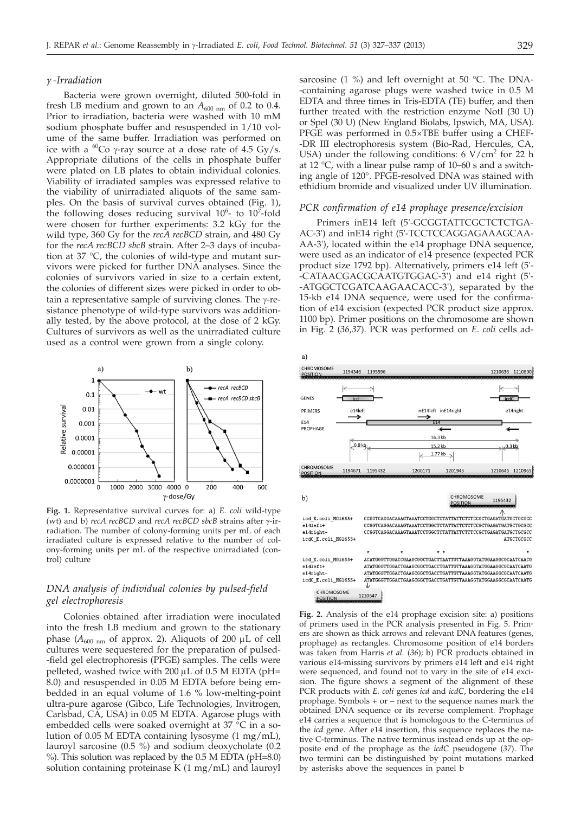#### *g -Irradiation*

Bacteria were grown overnight, diluted 500-fold in fresh LB medium and grown to an  $A_{600 \text{ nm}}$  of 0.2 to 0.4. Prior to irradiation, bacteria were washed with 10 mM sodium phosphate buffer and resuspended in 1/10 volume of the same buffer. Irradiation was performed on ice with a  $^{60}$ Co  $\gamma$ -ray source at a dose rate of 4.5 Gy/s. Appropriate dilutions of the cells in phosphate buffer were plated on LB plates to obtain individual colonies. Viability of irradiated samples was expressed relative to the viability of unirradiated aliquots of the same samples. On the basis of survival curves obtained (Fig. 1), the following doses reducing survival  $10^6$ - to  $10^7$ -fold were chosen for further experiments: 3.2 kGy for the wild type, 360 Gy for the *recA recBCD* strain, and 480 Gy for the *recA recBCD sbcB* strain. After 2–3 days of incubation at 37 °C, the colonies of wild-type and mutant survivors were picked for further DNA analyses. Since the colonies of survivors varied in size to a certain extent, the colonies of different sizes were picked in order to obtain a representative sample of surviving clones. The  $\gamma$ -resistance phenotype of wild-type survivors was additionally tested, by the above protocol, at the dose of 2 kGy. Cultures of survivors as well as the unirradiated culture used as a control were grown from a single colony.



**Fig. 1.** Representative survival curves for: a) *E. coli* wild-type (wt) and b) *recA recBCD* and *recA recBCD sbcB* strains after  $\gamma$ -irradiation. The number of colony-forming units per mL of each irradiated culture is expressed relative to the number of colony-forming units per mL of the respective unirradiated (control) culture

# *DNA analysis of individual colonies by pulsed-field gel electrophoresis*

Colonies obtained after irradiation were inoculated into the fresh LB medium and grown to the stationary phase ( $A_{600 \text{ nm}}$  of approx. 2). Aliquots of 200  $\mu$ L of cell cultures were sequestered for the preparation of pulsed- -field gel electrophoresis (PFGE) samples. The cells were pelleted, washed twice with 200  $\mu$ L of 0.5 M EDTA (pH= 8.0) and resuspended in 0.05 M EDTA before being embedded in an equal volume of 1.6 % low-melting-point ultra-pure agarose (Gibco, Life Technologies, Invitrogen, Carlsbad, CA, USA) in 0.05 M EDTA. Agarose plugs with embedded cells were soaked overnight at 37 °C in a solution of 0.05 M EDTA containing lysosyme (1 mg/mL), lauroyl sarcosine (0.5 %) and sodium deoxycholate (0.2 %). This solution was replaced by the 0.5 M EDTA (pH=8.0) solution containing proteinase K (1 mg/mL) and lauroyl

sarcosine (1 %) and left overnight at 50 °C. The DNA- -containing agarose plugs were washed twice in 0.5 M EDTA and three times in Tris-EDTA (TE) buffer, and then further treated with the restriction enzyme NotI (30 U) or SpeI (30 U) (New England Biolabs, Ipswich, MA, USA). PFGE was performed in 0.5×TBE buffer using a CHEF- -DR III electrophoresis system (Bio-Rad, Hercules, CA, USA) under the following conditions:  $6 \text{ V/cm}^2$  for 22 h at 12 °C, with a linear pulse ramp of 10–60 s and a switching angle of 120°. PFGE-resolved DNA was stained with ethidium bromide and visualized under UV illumination.

### *PCR confirmation of e14 prophage presence/excision*

Primers inE14 left (5'-GCGGTATTCGCTCTCTGA-AC-3') and inE14 right (5'-TCCTCCAGGAGAAAGCAA-AA-3'), located within the e14 prophage DNA sequence, were used as an indicator of e14 presence (expected PCR product size 1792 bp). Alternatively, primers e14 left (5'- -CATAACGACGCAATGTGGAC-3') and e14 right (5'- -ATGGCTCGATCAAGAACACC-3'), separated by the 15-kb e14 DNA sequence, were used for the confirmation of e14 excision (expected PCR product size approx. 1100 bp). Primer positions on the chromosome are shown in Fig. 2 (*36,37*). PCR was performed on *E. coli* cells ad-



**Fig. 2.** Analysis of the e14 prophage excision site: a) positions of primers used in the PCR analysis presented in Fig. 5. Primers are shown as thick arrows and relevant DNA features (genes, prophage) as rectangles. Chromosome position of e14 borders was taken from Harris *et al.* (*36*); b) PCR products obtained in various e14-missing survivors by primers e14 left and e14 right were sequenced, and found not to vary in the site of e14 excision. The figure shows a segment of the alignment of these PCR products with *E. coli* genes *icd* and *icdC*, bordering the e14 prophage. Symbols + or – next to the sequence names mark the obtained DNA sequence or its reverse complement. Prophage e14 carries a sequence that is homologous to the C-terminus of the *icd* gene. After e14 insertion, this sequence replaces the native C-terminus. The native terminus instead ends up at the opposite end of the prophage as the *icdC* pseudogene (*37*). The two termini can be distinguished by point mutations marked by asterisks above the sequences in panel b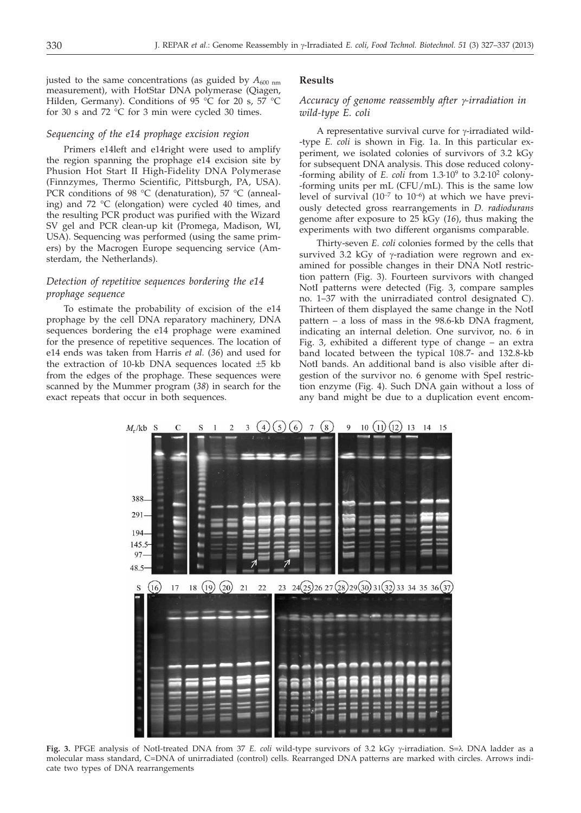justed to the same concentrations (as guided by  $A_{600 \text{ nm}}$ measurement), with HotStar DNA polymerase (Qiagen, Hilden, Germany). Conditions of  $95^{\circ}$ C for 20 s,  $57^{\circ}$ C for 30 s and 72  $\degree$ C for 3 min were cycled 30 times.

#### *Sequencing of the e14 prophage excision region*

Primers e14left and e14right were used to amplify the region spanning the prophage e14 excision site by Phusion Hot Start II High-Fidelity DNA Polymerase (Finnzymes, Thermo Scientific, Pittsburgh, PA, USA). PCR conditions of 98 °C (denaturation), 57 °C (annealing) and 72 °C (elongation) were cycled 40 times, and the resulting PCR product was purified with the Wizard SV gel and PCR clean-up kit (Promega, Madison, WI, USA). Sequencing was performed (using the same primers) by the Macrogen Europe sequencing service (Amsterdam, the Netherlands).

# *Detection of repetitive sequences bordering the e14 prophage sequence*

To estimate the probability of excision of the e14 prophage by the cell DNA reparatory machinery, DNA sequences bordering the e14 prophage were examined for the presence of repetitive sequences. The location of e14 ends was taken from Harris *et al.* (*36*) and used for the extraction of 10-kb DNA sequences located  $\pm 5$  kb from the edges of the prophage. These sequences were scanned by the Mummer program (*38*) in search for the exact repeats that occur in both sequences.

### **Results**

# *Accuracy of genome reassembly after g-irradiation in wild-type E. coli*

A representative survival curve for  $\gamma$ -irradiated wild--type *E. coli* is shown in Fig. 1a. In this particular experiment, we isolated colonies of survivors of 3.2 kGy for subsequent DNA analysis. This dose reduced colony- -forming ability of *E. coli* from 1.3·109 to 3.2·102 colony- -forming units per mL (CFU/mL). This is the same low level of survival  $(10^{-7}$  to  $10^{-6}$ ) at which we have previously detected gross rearrangements in *D. radiodurans* genome after exposure to 25 kGy (*16*), thus making the experiments with two different organisms comparable.

Thirty-seven *E. coli* colonies formed by the cells that survived 3.2 kGy of  $\gamma$ -radiation were regrown and examined for possible changes in their DNA NotI restriction pattern (Fig. 3). Fourteen survivors with changed NotI patterns were detected (Fig. 3, compare samples no. 1–37 with the unirradiated control designated C). Thirteen of them displayed the same change in the NotI pattern – a loss of mass in the 98.6-kb DNA fragment, indicating an internal deletion. One survivor, no. 6 in Fig. 3, exhibited a different type of change – an extra band located between the typical 108.7- and 132.8-kb NotI bands. An additional band is also visible after digestion of the survivor no. 6 genome with SpeI restriction enzyme (Fig. 4). Such DNA gain without a loss of any band might be due to a duplication event encom-



Fig. 3. PFGE analysis of NotI-treated DNA from 37 *E. coli* wild-type survivors of 3.2 kGy  $\gamma$ -irradiation. S= $\lambda$  DNA ladder as a molecular mass standard, C=DNA of unirradiated (control) cells. Rearranged DNA patterns are marked with circles. Arrows indicate two types of DNA rearrangements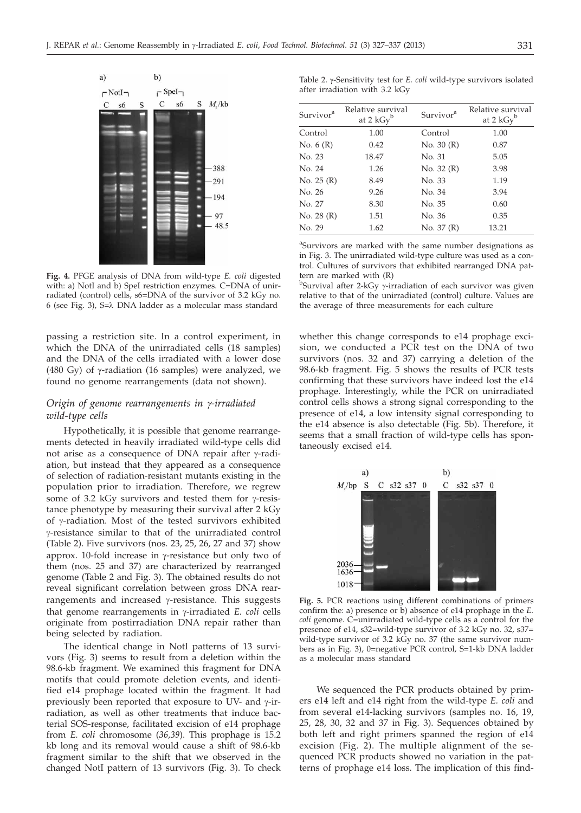

**Fig. 4.** PFGE analysis of DNA from wild-type *E. coli* digested with: a) NotI and b) SpeI restriction enzymes. C=DNA of unirradiated (control) cells, s6=DNA of the survivor of 3.2 kGy no. 6 (see Fig. 3), S= $\lambda$  DNA ladder as a molecular mass standard

passing a restriction site. In a control experiment, in which the DNA of the unirradiated cells (18 samples) and the DNA of the cells irradiated with a lower dose (480 Gy) of  $\gamma$ -radiation (16 samples) were analyzed, we found no genome rearrangements (data not shown).

## *Origin of genome rearrangements in g-irradiated wild-type cells*

Hypothetically, it is possible that genome rearrangements detected in heavily irradiated wild-type cells did not arise as a consequence of DNA repair after  $\gamma$ -radiation, but instead that they appeared as a consequence of selection of radiation-resistant mutants existing in the population prior to irradiation. Therefore, we regrew some of 3.2 kGy survivors and tested them for  $\gamma$ -resistance phenotype by measuring their survival after 2 kGy of  $\gamma$ -radiation. Most of the tested survivors exhibited g-resistance similar to that of the unirradiated control (Table 2). Five survivors (nos. 23, 25, 26, 27 and 37) show approx. 10-fold increase in  $v$ -resistance but only two of them (nos. 25 and 37) are characterized by rearranged genome (Table 2 and Fig. 3). The obtained results do not reveal significant correlation between gross DNA rearrangements and increased  $\gamma$ -resistance. This suggests that genome rearrangements in  $\gamma$ -irradiated *E. coli* cells originate from postirradiation DNA repair rather than being selected by radiation.

The identical change in NotI patterns of 13 survivors (Fig. 3) seems to result from a deletion within the 98.6-kb fragment. We examined this fragment for DNA motifs that could promote deletion events, and identified e14 prophage located within the fragment. It had previously been reported that exposure to UV- and  $\gamma$ -irradiation, as well as other treatments that induce bacterial SOS-response, facilitated excision of e14 prophage from *E. coli* chromosome (*36,39*). This prophage is 15.2 kb long and its removal would cause a shift of 98.6-kb fragment similar to the shift that we observed in the changed NotI pattern of 13 survivors (Fig. 3). To check

Table 2. y-Sensitivity test for *E. coli* wild-type survivors isolated after irradiation with 3.2 kGy

| Survivor <sup>a</sup> | Relative survival<br>at $2$ kGy <sup>b</sup> | Survivor <sup>a</sup> | Relative survival<br>at $2$ kGy <sup>b</sup> |
|-----------------------|----------------------------------------------|-----------------------|----------------------------------------------|
| Control               | 1.00                                         | Control               | 1.00                                         |
| No. $6(R)$            | 0.42                                         | No. 30(R)             | 0.87                                         |
| No. 23                | 18.47                                        | No. 31                | 5.05                                         |
| No. 24                | 1.26                                         | No. 32(R)             | 3.98                                         |
| No. 25 (R)            | 8.49                                         | No. 33                | 1.19                                         |
| No. 26                | 9.26                                         | No. 34                | 3.94                                         |
| No. 27                | 8.30                                         | No. 35                | 0.60                                         |
| No. 28 (R)            | 1.51                                         | No. 36                | 0.35                                         |
| No. 29                | 1.62                                         | No. 37(R)             | 13.21                                        |
|                       |                                              |                       |                                              |

<sup>a</sup>Survivors are marked with the same number designations as in Fig. 3. The unirradiated wild-type culture was used as a control. Cultures of survivors that exhibited rearranged DNA pattern are marked with (R)

b<sub>Survival after 2-kGy γ-irradiation of each survivor was given</sub> relative to that of the unirradiated (control) culture. Values are the average of three measurements for each culture

whether this change corresponds to e14 prophage excision, we conducted a PCR test on the DNA of two survivors (nos. 32 and 37) carrying a deletion of the 98.6-kb fragment. Fig. 5 shows the results of PCR tests confirming that these survivors have indeed lost the e14 prophage. Interestingly, while the PCR on unirradiated control cells shows a strong signal corresponding to the presence of e14, a low intensity signal corresponding to the e14 absence is also detectable (Fig. 5b). Therefore, it seems that a small fraction of wild-type cells has spontaneously excised e14.



**Fig. 5.** PCR reactions using different combinations of primers confirm the: a) presence or  $\check{b}$ ) absence of e14 prophage in the *E*. *coli* genome. C=unirradiated wild-type cells as a control for the presence of e14, s32=wild-type survivor of 3.2 kGy no. 32, s37= wild-type survivor of  $3.2 \text{ kGy}$  no. 37 (the same survivor numbers as in Fig. 3), 0=negative PCR control, S=1-kb DNA ladder as a molecular mass standard

We sequenced the PCR products obtained by primers e14 left and e14 right from the wild-type *E. coli* and from several e14-lacking survivors (samples no. 16, 19, 25, 28, 30, 32 and 37 in Fig. 3). Sequences obtained by both left and right primers spanned the region of e14 excision (Fig. 2). The multiple alignment of the sequenced PCR products showed no variation in the patterns of prophage e14 loss. The implication of this find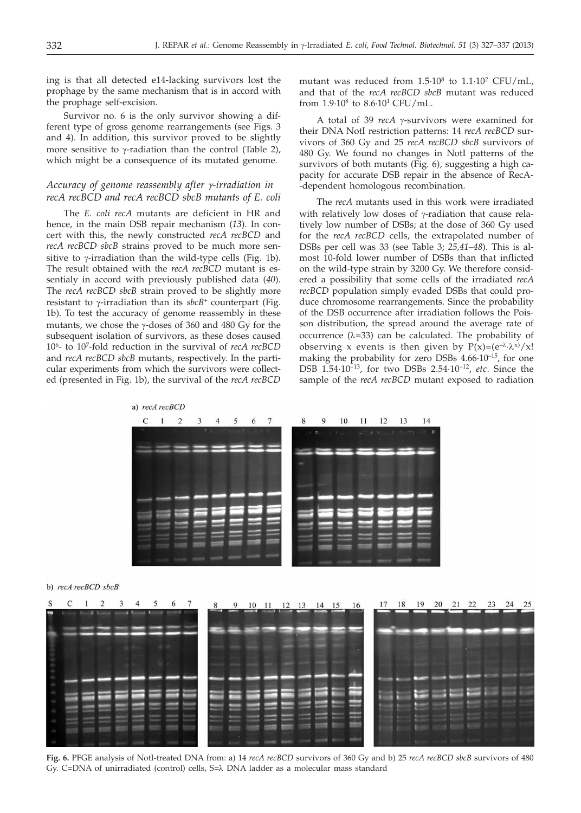ing is that all detected e14-lacking survivors lost the prophage by the same mechanism that is in accord with the prophage self-excision.

Survivor no. 6 is the only survivor showing a different type of gross genome rearrangements (see Figs. 3 and 4). In addition, this survivor proved to be slightly more sensitive to  $\gamma$ -radiation than the control (Table 2), which might be a consequence of its mutated genome.

## *Accuracy of genome reassembly after g-irradiation in recA recBCD and recA recBCD sbcB mutants of E. coli*

The *E. coli recA* mutants are deficient in HR and hence, in the main DSB repair mechanism (*13*). In concert with this, the newly constructed *recA recBCD* and *recA recBCD sbcB* strains proved to be much more sensitive to  $\gamma$ -irradiation than the wild-type cells (Fig. 1b). The result obtained with the *recA recBCD* mutant is essentialy in accord with previously published data (*40*). The *recA recBCD sbcB* strain proved to be slightly more resistant to g-irradiation than its *sbcB+* counterpart (Fig. 1b). To test the accuracy of genome reassembly in these mutants, we chose the  $\gamma$ -doses of 360 and 480 Gy for the subsequent isolation of survivors, as these doses caused 106 - to 107 -fold reduction in the survival of *recA recBCD* and *recA recBCD sbcB* mutants, respectively. In the particular experiments from which the survivors were collected (presented in Fig. 1b), the survival of the *recA recBCD*

mutant was reduced from  $1.5{\cdot}10^8$  to  $1.1{\cdot}10^2$  CFU/mL, and that of the *recA recBCD sbcB* mutant was reduced from  $1.9 \cdot 10^8$  to  $8.6 \cdot 10^1$  CFU/mL.

A total of 39 *recA*  $\gamma$ -survivors were examined for their DNA NotI restriction patterns: 14 *recA recBCD* survivors of 360 Gy and 25 *recA recBCD sbcB* survivors of 480 Gy. We found no changes in NotI patterns of the survivors of both mutants (Fig. 6), suggesting a high capacity for accurate DSB repair in the absence of RecA- -dependent homologous recombination.

The *recA* mutants used in this work were irradiated with relatively low doses of  $\gamma$ -radiation that cause relatively low number of DSBs; at the dose of 360 Gy used for the *recA recBCD* cells, the extrapolated number of DSBs per cell was 33 (see Table 3; *25,41–48*). This is almost 10-fold lower number of DSBs than that inflicted on the wild-type strain by 3200 Gy. We therefore considered a possibility that some cells of the irradiated *recA recBCD* population simply evaded DSBs that could produce chromosome rearrangements. Since the probability of the DSB occurrence after irradiation follows the Poisson distribution, the spread around the average rate of occurrence  $(\lambda=33)$  can be calculated. The probability of observing x events is then given by  $P(x)=(e^{-\lambda} \cdot \lambda^{x})/x!$ making the probability for zero DSBs 4.66·10–15, for one DSB 1.54·10–13, for two DSBs 2.54·10–12, *etc*. Since the sample of the *recA recBCD* mutant exposed to radiation



b) recA recBCD sbcB



**Fig. 6.** PFGE analysis of NotI-treated DNA from: a) 14 *recA recBCD* survivors of 360 Gy and b) 25 *recA recBCD sbcB* survivors of 480 Gy. C=DNA of unirradiated (control) cells,  $S=\lambda$  DNA ladder as a molecular mass standard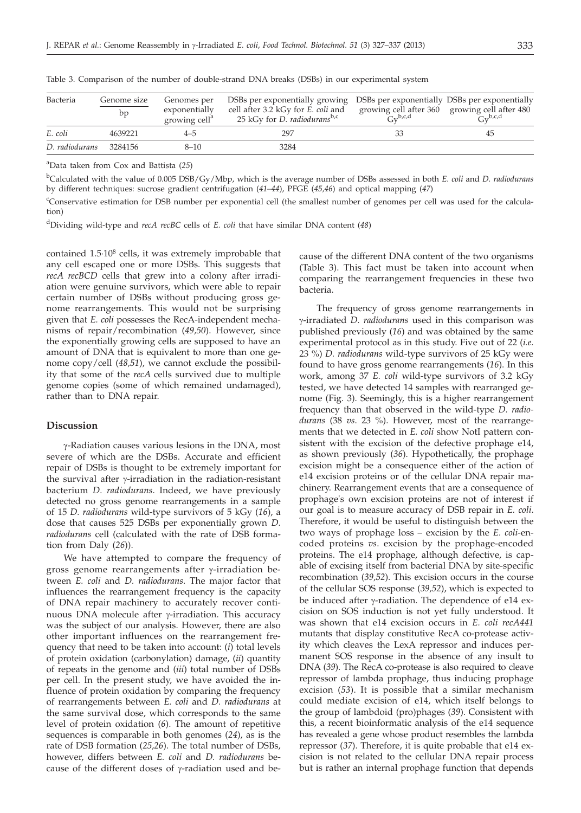| Bacteria       | Genome size<br>bp | Genomes per<br>exponentially<br>growing cell <sup>a</sup> | DSBs per exponentially growing DSBs per exponentially DSBs per exponentially<br>cell after 3.2 kGy for E. coli and<br>25 kGy for <i>D. radiodurans</i> <sup>b,c</sup> | $GV$ b,c,d | growing cell after 360 growing cell after 480<br>$Gv^{b,c,d}$ |
|----------------|-------------------|-----------------------------------------------------------|-----------------------------------------------------------------------------------------------------------------------------------------------------------------------|------------|---------------------------------------------------------------|
| E. coli        | 4639221           | $4 - 5$                                                   | 297                                                                                                                                                                   |            | 45                                                            |
| D. radiodurans | 3284156           | $8 - 10$                                                  | 3284                                                                                                                                                                  |            |                                                               |

Table 3. Comparison of the number of double-strand DNA breaks (DSBs) in our experimental system

a Data taken from Cox and Battista (*25*)

b Calculated with the value of 0.005 DSB/Gy/Mbp, which is the average number of DSBs assessed in both *E. coli* and *D. radiodurans* by different techniques: sucrose gradient centrifugation (*41–44*), PFGE (*45,46*) and optical mapping (*47*)

c Conservative estimation for DSB number per exponential cell (the smallest number of genomes per cell was used for the calculation)

d Dividing wild-type and *recA recBC* cells of *E. coli* that have similar DNA content (*48*)

contained 1.5·108 cells, it was extremely improbable that any cell escaped one or more DSBs. This suggests that *recA recBCD* cells that grew into a colony after irradiation were genuine survivors, which were able to repair certain number of DSBs without producing gross genome rearrangements. This would not be surprising given that *E. coli* possesses the RecA-independent mechanisms of repair/recombination (*49,50*). However, since the exponentially growing cells are supposed to have an amount of DNA that is equivalent to more than one genome copy/cell (*48,51*), we cannot exclude the possibility that some of the *recA* cells survived due to multiple genome copies (some of which remained undamaged), rather than to DNA repair.

### **Discussion**

g-Radiation causes various lesions in the DNA, most severe of which are the DSBs. Accurate and efficient repair of DSBs is thought to be extremely important for the survival after  $\gamma$ -irradiation in the radiation-resistant bacterium *D. radiodurans*. Indeed, we have previously detected no gross genome rearrangements in a sample of 15 *D. radiodurans* wild-type survivors of 5 kGy (*16*), a dose that causes 525 DSBs per exponentially grown *D. radiodurans* cell (calculated with the rate of DSB formation from Daly (*26*)).

We have attempted to compare the frequency of gross genome rearrangements after  $\gamma$ -irradiation between *E. coli* and *D. radiodurans*. The major factor that influences the rearrangement frequency is the capacity of DNA repair machinery to accurately recover continuous DNA molecule after  $\gamma$ -irradiation. This accuracy was the subject of our analysis. However, there are also other important influences on the rearrangement frequency that need to be taken into account: (*i*) total levels of protein oxidation (carbonylation) damage, (*ii*) quantity of repeats in the genome and (*iii*) total number of DSBs per cell. In the present study, we have avoided the influence of protein oxidation by comparing the frequency of rearrangements between *E. coli* and *D. radiodurans* at the same survival dose, which corresponds to the same level of protein oxidation (*6*). The amount of repetitive sequences is comparable in both genomes (*24*), as is the rate of DSB formation (*25,26*). The total number of DSBs, however, differs between *E. coli* and *D. radiodurans* because of the different doses of  $\gamma$ -radiation used and because of the different DNA content of the two organisms (Table 3). This fact must be taken into account when comparing the rearrangement frequencies in these two bacteria.

The frequency of gross genome rearrangements in g-irradiated *D. radiodurans* used in this comparison was published previously (*16*) and was obtained by the same experimental protocol as in this study. Five out of 22 (*i.e.* 23 %) *D. radiodurans* wild-type survivors of 25 kGy were found to have gross genome rearrangements (*16*). In this work, among 37 *E. coli* wild-type survivors of 3.2 kGy tested, we have detected 14 samples with rearranged genome (Fig. 3). Seemingly, this is a higher rearrangement frequency than that observed in the wild-type *D. radiodurans* (38 *vs*. 23 %). However, most of the rearrangements that we detected in *E. coli* show NotI pattern consistent with the excision of the defective prophage e14, as shown previously (*36*). Hypothetically, the prophage excision might be a consequence either of the action of e14 excision proteins or of the cellular DNA repair machinery. Rearrangement events that are a consequence of prophage's own excision proteins are not of interest if our goal is to measure accuracy of DSB repair in *E. coli*. Therefore, it would be useful to distinguish between the two ways of prophage loss – excision by the *E. coli*-encoded proteins *vs*. excision by the prophage-encoded proteins. The e14 prophage, although defective, is capable of excising itself from bacterial DNA by site-specific recombination (*39,52*). This excision occurs in the course of the cellular SOS response (*39,52*), which is expected to be induced after  $\gamma$ -radiation. The dependence of e14 excision on SOS induction is not yet fully understood. It was shown that e14 excision occurs in *E. coli recA441* mutants that display constitutive RecA co-protease activity which cleaves the LexA repressor and induces permanent SOS response in the absence of any insult to DNA (*39*). The RecA co-protease is also required to cleave repressor of lambda prophage, thus inducing prophage excision (*53*). It is possible that a similar mechanism could mediate excision of e14, which itself belongs to the group of lambdoid (pro)phages (*39*). Consistent with this, a recent bioinformatic analysis of the e14 sequence has revealed a gene whose product resembles the lambda repressor (*37*). Therefore, it is quite probable that e14 excision is not related to the cellular DNA repair process but is rather an internal prophage function that depends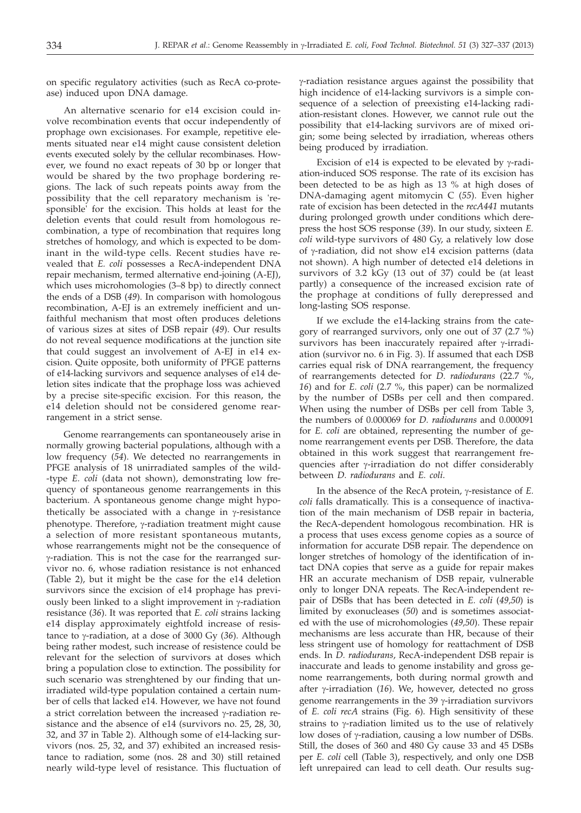on specific regulatory activities (such as RecA co-protease) induced upon DNA damage.

An alternative scenario for e14 excision could involve recombination events that occur independently of prophage own excisionases. For example, repetitive elements situated near e14 might cause consistent deletion events executed solely by the cellular recombinases. However, we found no exact repeats of 30 bp or longer that would be shared by the two prophage bordering regions. The lack of such repeats points away from the possibility that the cell reparatory mechanism is 'responsible' for the excision. This holds at least for the deletion events that could result from homologous recombination, a type of recombination that requires long stretches of homology, and which is expected to be dominant in the wild-type cells. Recent studies have revealed that *E. coli* possesses a RecA-independent DNA repair mechanism, termed alternative end-joining (A-EJ), which uses microhomologies (3–8 bp) to directly connect the ends of a DSB (*49*). In comparison with homologous recombination, A-EJ is an extremely inefficient and unfaithful mechanism that most often produces deletions of various sizes at sites of DSB repair (*49*). Our results do not reveal sequence modifications at the junction site that could suggest an involvement of A-EJ in e14 excision. Quite opposite, both uniformity of PFGE patterns of e14-lacking survivors and sequence analyses of e14 deletion sites indicate that the prophage loss was achieved by a precise site-specific excision. For this reason, the e14 deletion should not be considered genome rearrangement in a strict sense.

Genome rearrangements can spontaneousely arise in normally growing bacterial populations, although with a low frequency (*54*). We detected no rearrangements in PFGE analysis of 18 unirradiated samples of the wild- -type *E. coli* (data not shown), demonstrating low frequency of spontaneous genome rearrangements in this bacterium. A spontaneous genome change might hypothetically be associated with a change in  $\gamma$ -resistance phenotype. Therefore, γ-radiation treatment might cause a selection of more resistant spontaneous mutants, whose rearrangements might not be the consequence of  $\gamma$ -radiation. This is not the case for the rearranged survivor no. 6, whose radiation resistance is not enhanced (Table 2), but it might be the case for the e14 deletion survivors since the excision of e14 prophage has previously been linked to a slight improvement in  $\gamma$ -radiation resistance (*36*). It was reported that *E. coli* strains lacking e14 display approximately eightfold increase of resistance to y-radiation, at a dose of 3000 Gy (36). Although being rather modest, such increase of resistence could be relevant for the selection of survivors at doses which bring a population close to extinction. The possibility for such scenario was strenghtened by our finding that unirradiated wild-type population contained a certain number of cells that lacked e14. However, we have not found a strict correlation between the increased  $\gamma$ -radiation resistance and the absence of e14 (survivors no. 25, 28, 30, 32, and 37 in Table 2). Although some of e14-lacking survivors (nos. 25, 32, and 37) exhibited an increased resistance to radiation, some (nos. 28 and 30) still retained nearly wild-type level of resistance. This fluctuation of

 $\gamma$ -radiation resistance argues against the possibility that high incidence of e14-lacking survivors is a simple consequence of a selection of preexisting e14-lacking radiation-resistant clones. However, we cannot rule out the possibility that e14-lacking survivors are of mixed origin; some being selected by irradiation, whereas others being produced by irradiation.

Excision of e14 is expected to be elevated by  $\gamma$ -radiation-induced SOS response. The rate of its excision has been detected to be as high as 13 % at high doses of DNA-damaging agent mitomycin C (*55*). Even higher rate of excision has been detected in the *recA441* mutants during prolonged growth under conditions which derepress the host SOS response (*39*). In our study, sixteen *E. coli* wild-type survivors of 480 Gy, a relatively low dose of g-radiation, did not show e14 excision patterns (data not shown). A high number of detected e14 deletions in survivors of 3.2 kGy (13 out of 37) could be (at least partly) a consequence of the increased excision rate of the prophage at conditions of fully derepressed and long-lasting SOS response.

If we exclude the e14-lacking strains from the category of rearranged survivors, only one out of 37 (2.7 %) survivors has been inaccurately repaired after  $\gamma$ -irradiation (survivor no. 6 in Fig. 3). If assumed that each DSB carries equal risk of DNA rearrangement, the frequency of rearrangements detected for *D. radiodurans* (22.7 %, *16*) and for *E. coli* (2.7 %, this paper) can be normalized by the number of DSBs per cell and then compared. When using the number of DSBs per cell from Table 3, the numbers of 0.000069 for *D. radiodurans* and 0.000091 for *E. coli* are obtained, representing the number of genome rearrangement events per DSB. Therefore, the data obtained in this work suggest that rearrangement frequencies after g-irradiation do not differ considerably between *D. radiodurans* and *E. coli*.

In the absence of the RecA protein, g-resistance of *E. coli* falls dramatically. This is a consequence of inactivation of the main mechanism of DSB repair in bacteria, the RecA-dependent homologous recombination. HR is a process that uses excess genome copies as a source of information for accurate DSB repair. The dependence on longer stretches of homology of the identification of intact DNA copies that serve as a guide for repair makes HR an accurate mechanism of DSB repair, vulnerable only to longer DNA repeats. The RecA-independent repair of DSBs that has been detected in *E. coli* (*49,50*) is limited by exonucleases (*50*) and is sometimes associated with the use of microhomologies (*49,50*). These repair mechanisms are less accurate than HR, because of their less stringent use of homology for reattachment of DSB ends. In *D. radiodurans*, RecA-independent DSB repair is inaccurate and leads to genome instability and gross genome rearrangements, both during normal growth and after *y*-irradiation (16). We, however, detected no gross genome rearrangements in the 39  $\gamma$ -irradiation survivors of *E. coli recA* strains (Fig. 6). High sensitivity of these strains to  $\gamma$ -radiation limited us to the use of relatively low doses of  $\gamma$ -radiation, causing a low number of DSBs. Still, the doses of 360 and 480 Gy cause 33 and 45 DSBs per *E. coli* cell (Table 3), respectively, and only one DSB left unrepaired can lead to cell death. Our results sug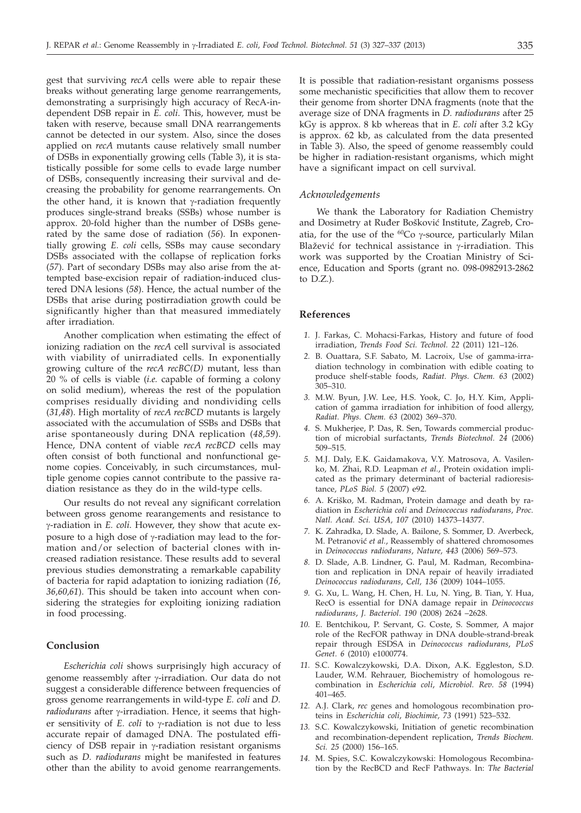gest that surviving *recA* cells were able to repair these breaks without generating large genome rearrangements, demonstrating a surprisingly high accuracy of RecA-independent DSB repair in *E. coli*. This, however, must be taken with reserve, because small DNA rearrangements cannot be detected in our system. Also, since the doses applied on *recA* mutants cause relatively small number of DSBs in exponentially growing cells (Table 3), it is statistically possible for some cells to evade large number of DSBs, consequently increasing their survival and decreasing the probability for genome rearrangements. On the other hand, it is known that  $\gamma$ -radiation frequently produces single-strand breaks (SSBs) whose number is approx. 20-fold higher than the number of DSBs generated by the same dose of radiation (*56*). In exponentially growing *E. coli* cells, SSBs may cause secondary DSBs associated with the collapse of replication forks (*57*). Part of secondary DSBs may also arise from the attempted base-excision repair of radiation-induced clustered DNA lesions (*58*). Hence, the actual number of the DSBs that arise during postirradiation growth could be significantly higher than that measured immediately after irradiation.

Another complication when estimating the effect of ionizing radiation on the *recA* cell survival is associated with viability of unirradiated cells. In exponentially growing culture of the *recA recBC(D)* mutant, less than 20 % of cells is viable (*i.e.* capable of forming a colony on solid medium), whereas the rest of the population comprises residually dividing and nondividing cells (*31,48*). High mortality of *recA recBCD* mutants is largely associated with the accumulation of SSBs and DSBs that arise spontaneously during DNA replication (*48,59*). Hence, DNA content of viable *recA recBCD* cells may often consist of both functional and nonfunctional genome copies. Conceivably, in such circumstances, multiple genome copies cannot contribute to the passive radiation resistance as they do in the wild-type cells.

Our results do not reveal any significant correlation between gross genome rearangements and resistance to g-radiation in *E. coli*. However, they show that acute exposure to a high dose of  $\gamma$ -radiation may lead to the formation and/or selection of bacterial clones with increased radiation resistance. These results add to several previous studies demonstrating a remarkable capability of bacteria for rapid adaptation to ionizing radiation (*16, 36,60,61*). This should be taken into account when considering the strategies for exploiting ionizing radiation in food processing.

# **Conclusion**

*Escherichia coli* shows surprisingly high accuracy of genome reassembly after g-irradiation. Our data do not suggest a considerable difference between frequencies of gross genome rearrangements in wild-type *E. coli* and *D. radiodurans* after *y*-irradiation. Hence, it seems that higher sensitivity of *E. coli* to y-radiation is not due to less accurate repair of damaged DNA. The postulated efficiency of DSB repair in  $\gamma$ -radiation resistant organisms such as *D. radiodurans* might be manifested in features other than the ability to avoid genome rearrangements.

It is possible that radiation-resistant organisms possess some mechanistic specificities that allow them to recover their genome from shorter DNA fragments (note that the average size of DNA fragments in *D. radiodurans* after 25 kGy is approx. 8 kb whereas that in *E. coli* after 3.2 kGy is approx. 62 kb, as calculated from the data presented in Table 3). Also, the speed of genome reassembly could be higher in radiation-resistant organisms, which might have a significant impact on cell survival.

### *Acknowledgements*

We thank the Laboratory for Radiation Chemistry and Dosimetry at Ruđer Bošković Institute, Zagreb, Croatia, for the use of the  ${}^{60}Co$  y-source, particularly Milan Blažević for technical assistance in  $\gamma$ -irradiation. This work was supported by the Croatian Ministry of Science, Education and Sports (grant no. 098-0982913-2862 to D.Z.).

### **References**

- *1.* J. Farkas, C. Mohacsi-Farkas, History and future of food irradiation, *Trends Food Sci. Technol. 22* (2011) 121–126.
- *2.* B. Ouattara, S.F. Sabato, M. Lacroix, Use of gamma-irradiation technology in combination with edible coating to produce shelf-stable foods, *Radiat. Phys. Chem. 63* (2002) 305–310.
- *3.* M.W. Byun, J.W. Lee, H.S. Yook, C. Jo, H.Y. Kim, Application of gamma irradiation for inhibition of food allergy, *Radiat. Phys. Chem. 63* (2002) 369–370.
- *4.* S. Mukherjee, P. Das, R. Sen, Towards commercial production of microbial surfactants, *Trends Biotechnol. 24* (2006) 509–515.
- *5.* M.J. Daly, E.K. Gaidamakova, V.Y. Matrosova, A. Vasilenko, M. Zhai, R.D. Leapman *et al.*, Protein oxidation implicated as the primary determinant of bacterial radioresistance, *PLoS Biol. 5* (2007) e92.
- 6. A. Kriško, M. Radman, Protein damage and death by radiation in *Escherichia coli* and *Deinococcus radiodurans*, *Proc. Natl. Acad. Sci. USA, 107* (2010) 14373–14377.
- *7.* K. Zahradka, D. Slade, A. Bailone, S. Sommer, D. Averbeck, M. Petranović et al., Reassembly of shattered chromosomes in *Deinococcus radiodurans*, *Nature, 443* (2006) 569–573.
- *8.* D. Slade, A.B. Lindner, G. Paul, M. Radman, Recombination and replication in DNA repair of heavily irradiated *Deinococcus radiodurans*, *Cell, 136* (2009) 1044–1055.
- *9.* G. Xu, L. Wang, H. Chen, H. Lu, N. Ying, B. Tian, Y. Hua, RecO is essential for DNA damage repair in *Deinococcus radiodurans*, *J. Bacteriol*. *190* (2008) 2624 –2628.
- *10.* E. Bentchikou, P. Servant, G. Coste, S. Sommer, A major role of the RecFOR pathway in DNA double-strand-break repair through ESDSA in *Deinococcus radiodurans*, *PLoS Genet. 6* (2010) e1000774.
- *11.* S.C. Kowalczykowski, D.A. Dixon, A.K. Eggleston, S.D. Lauder, W.M. Rehrauer, Biochemistry of homologous recombination in *Escherichia coli*, *Microbiol. Rev*. *58* (1994) 401–465.
- *12.* A.J. Clark, *rec* genes and homologous recombination proteins in *Escherichia coli*, *Biochimie, 73* (1991) 523–532.
- *13.* S.C. Kowalczykowski, Initiation of genetic recombination and recombination-dependent replication, *Trends Biochem. Sci. 25* (2000) 156–165.
- *14.* M. Spies, S.C. Kowalczykowski: Homologous Recombination by the RecBCD and RecF Pathways. In: *The Bacterial*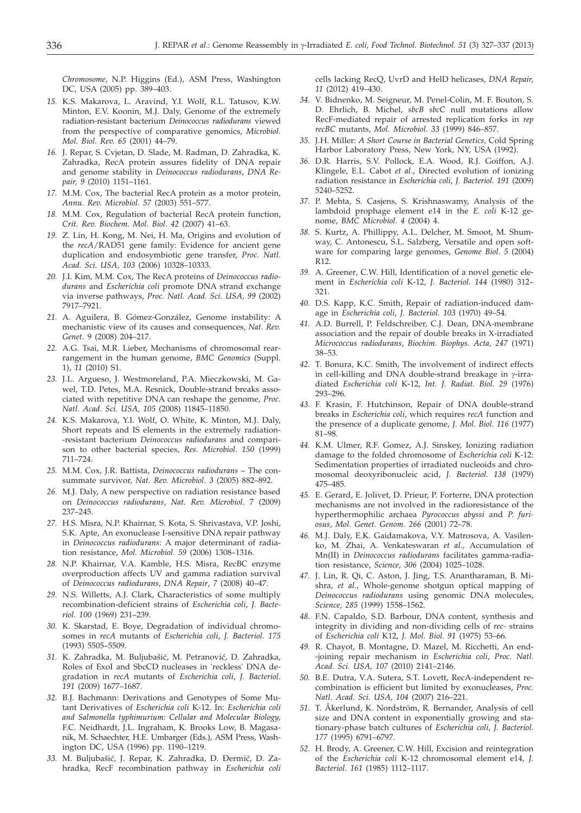*Chromosome*, N.P. Higgins (Ed.), ASM Press, Washington DC, USA (2005) pp. 389–403.

- *15.* K.S. Makarova, L. Aravind, Y.I. Wolf, R.L. Tatusov, K.W. Minton, E.V. Koonin, M.J. Daly, Genome of the extremely radiation-resistant bacterium *Deinococcus radiodurans* viewed from the perspective of comparative genomics, *Microbiol. Mol. Biol. Rev. 65* (2001) 44–79.
- *16.* J. Repar, S. Cvjetan, D. Slade, M. Radman, D. Zahradka, K. Zahradka, RecA protein assures fidelity of DNA repair and genome stability in *Deinococcus radiodurans*, *DNA Repair, 9* (2010) 1151–1161.
- *17.* M.M. Cox, The bacterial RecA protein as a motor protein, *Annu. Rev. Microbiol. 57* (2003) 551–577.
- *18.* M.M. Cox, Regulation of bacterial RecA protein function, *Crit. Rev. Biochem. Mol. Biol*. *42* (2007) 41–63.
- *19.* Z. Lin, H. Kong, M. Nei, H. Ma, Origins and evolution of the *recA*/RAD51 gene family: Evidence for ancient gene duplication and endosymbiotic gene transfer, *Proc. Natl. Acad. Sci. USA*, *103* (2006) 10328–10333.
- *20.* J.I. Kim*,* M.M. Cox, The RecA proteins of *Deinococcus radiodurans* and *Escherichia coli* promote DNA strand exchange via inverse pathways, *Proc. Natl. Acad. Sci. USA, 99* (2002) 7917–7921.
- *21.* A. Aguilera*,* B. Gómez-González, Genome instability: A mechanistic view of its causes and consequences, *Nat. Rev. Genet*. 9 (2008) 204–217.
- *22.* A.G. Tsai*,* M.R. Lieber, Mechanisms of chromosomal rearrangement in the human genome, *BMC Genomics* (Suppl. 1), *11* (2010) S1.
- *23.* J.L. Argueso, J. Westmoreland, P.A. Mieczkowski, M. Gawel, T.D. Petes, M.A. Resnick, Double-strand breaks associated with repetitive DNA can reshape the genome, *Proc. Natl. Acad. Sci. USA, 105* (2008) 11845–11850.
- *24.* K.S. Makarova, Y.I. Wolf, O. White, K. Minton, M.J. Daly, Short repeats and IS elements in the extremely radiation- -resistant bacterium *Deinococcus radiodurans* and comparison to other bacterial species, *Res. Microbiol*. *150* (1999) 711–724.
- *25.* M.M. Cox*,* J.R. Battista, *Deinococcus radiodurans* The consummate survivor, *Nat. Rev. Microbiol*. *3* (2005) 882–892.
- *26.* M.J. Daly, A new perspective on radiation resistance based on *Deinococcus radiodurans*, *Nat. Rev. Microbiol*. 7 (2009) 237–245.
- *27.* H.S. Misra, N.P. Khairnar, S. Kota, S. Shrivastava, V.P. Joshi, S.K. Apte, An exonuclease I-sensitive DNA repair pathway in *Deinococcus radiodurans*: A major determinant of radiation resistance, *Mol. Microbiol. 59* (2006) 1308–1316.
- *28.* N.P. Khairnar, V.A. Kamble, H.S. Misra, RecBC enzyme overproduction affects UV and gamma radiation survival of *Deinococcus radiodurans*, *DNA Repair*, *7* (2008) 40–47.
- *29.* N.S. Willetts*,* A.J. Clark, Characteristics of some multiply recombination-deficient strains of *Escherichia coli*, *J. Bacteriol. 100* (1969) 231–239.
- *30.* K. Skarstad*,* E. Boye, Degradation of individual chromosomes in *recA* mutants of *Escherichia coli*, *J. Bacteriol. 175* (1993) 5505–5509.
- 31. K. Zahradka, M. Buljubašić, M. Petranović, D. Zahradka, Roles of ExoI and SbcCD nucleases in 'reckless' DNA degradation in *recA* mutants of *Escherichia coli*, *J. Bacteriol*. *191* (2009) 1677–1687.
- *32.* B.J. Bachmann: Derivations and Genotypes of Some Mutant Derivatives of *Escherichia coli* K-12. In: *Escherichia coli and Salmonella typhimurium: Cellular and Molecular Biology,* F.C. Neidhardt, J.L. Ingraham, K. Brooks Low, B. Magasanik, M. Schaechter, H.E. Umbarger (Eds.), ASM Press, Washington DC, USA (1996) pp. 1190–1219.
- 33. M. Buljubašić, J. Repar, K. Zahradka, D. Đermić, D. Zahradka, RecF recombination pathway in *Escherichia coli*

cells lacking RecQ, UvrD and HelD helicases, *DNA Repair, 11* (2012) 419–430.

- *34.* V. Bidnenko, M. Seigneur, M. Penel-Colin, M. F. Bouton, S. D. Ehrlich, B. Michel, *sbcB sbcC* null mutations allow RecF-mediated repair of arrested replication forks in *rep recBC* mutants, *Mol. Microbiol*. *33* (1999) 846–857.
- *35.* J.H. Miller: *A Short Course in Bacterial Genetics*, Cold Spring Harbor Laboratory Press, New York, NY, USA (1992).
- *36.* D.R. Harris, S.V. Pollock, E.A. Wood, R.J. Goiffon, A.J. Klingele, E.L. Cabot *et al.*, Directed evolution of ionizing radiation resistance in *Escherichia coli*, *J. Bacteriol. 191* (2009) 5240–5252.
- *37.* P. Mehta, S. Casjens, S. Krishnaswamy, Analysis of the lambdoid prophage element e14 in the *E. coli* K-12 genome, *BMC Microbiol. 4* (2004) 4.
- *38.* S. Kurtz, A. Phillippy, A.L. Delcher, M. Smoot, M. Shumway, C. Antonescu, S.L. Salzberg, Versatile and open software for comparing large genomes, *Genome Biol. 5* (2004) R12.
- *39.* A. Greener*,* C.W. Hill, Identification of a novel genetic element in *Escherichia coli* K-12, *J. Bacteriol. 144* (1980) 312– 321.
- *40.* D.S. Kapp, K.C. Smith, Repair of radiation-induced damage in *Escherichia coli*, *J. Bacteriol. 103* (1970) 49–54.
- *41.* A.D. Burrell, P. Feldschreiber, C.J. Dean, DNA-membrane association and the repair of double breaks in X-irradiated *Micrococcus radiodurans*, *Biochim. Biophys. Acta, 247* (1971) 38–53.
- *42.* T. Bonura, K.C. Smith, The involvement of indirect effects in cell-killing and DNA double-strand breakage in  $\gamma$ -irradiated *Escherichia coli* K-12, *Int. J. Radiat. Biol. 29* (1976) 293–296.
- *43.* F. Krasin, F. Hutchinson, Repair of DNA double-strand breaks in *Escherichia coli*, which requires *recA* function and the presence of a duplicate genome, *J. Mol. Biol. 116* (1977) 81–98.
- *44.* K.M. Ulmer, R.F. Gomez, A.J. Sinskey, Ionizing radiation damage to the folded chromosome of *Escherichia coli* K-12: Sedimentation properties of irradiated nucleoids and chromosomal deoxyribonucleic acid, *J. Bacteriol. 138* (1979) 475–485.
- *45.* E. Gerard, E. Jolivet, D. Prieur, P. Forterre, DNA protection mechanisms are not involved in the radioresistance of the hyperthermophilic archaea *Pyrococcus abyssi* and *P. furiosus*, *Mol. Genet. Genom. 266* (2001) 72–78.
- *46.* M.J. Daly, E.K. Gaidamakova, V.Y. Matrosova, A. Vasilenko, M. Zhai, A. Venkateswaran *et al.*, Accumulation of Mn(II) in *Deinococcus radiodurans* facilitates gamma-radiation resistance, *Science, 306* (2004) 1025–1028.
- *47.* J. Lin, R. Qi, C. Aston, J. Jing, T.S. Anantharaman, B. Mishra, *et al.*, Whole-genome shotgun optical mapping of *Deinococcus radiodurans* using genomic DNA molecules, *Science, 285* (1999) 1558–1562.
- *48.* F.N. Capaldo*,* S.D. Barbour, DNA content, synthesis and integrity in dividing and non-dividing cells of *rec-* strains of *Escherichia coli* K12, *J. Mol. Biol. 91* (1975) 53–66.
- *49.* R. Chayot, B. Montagne, D. Mazel, M. Ricchetti, An end- -joining repair mechanism in *Escherichia coli*, *Proc. Natl. Acad. Sci. USA, 107* (2010) 2141–2146.
- *50.* B.E. Dutra, V.A. Sutera, S.T. Lovett, RecA-independent recombination is efficient but limited by exonucleases, *Proc. Natl. Acad. Sci. USA, 104* (2007) 216–221.
- *51.* T. Åkerlund, K. Nordström, R. Bernander, Analysis of cell size and DNA content in exponentially growing and stationary-phase batch cultures of *Escherichia coli*, *J. Bacteriol. 177* (1995) 6791–6797.
- *52.* H. Brody, A. Greener, C.W. Hill, Excision and reintegration of the *Escherichia coli* K-12 chromosomal element e14, *J. Bacteriol*. *161* (1985) 1112–1117.